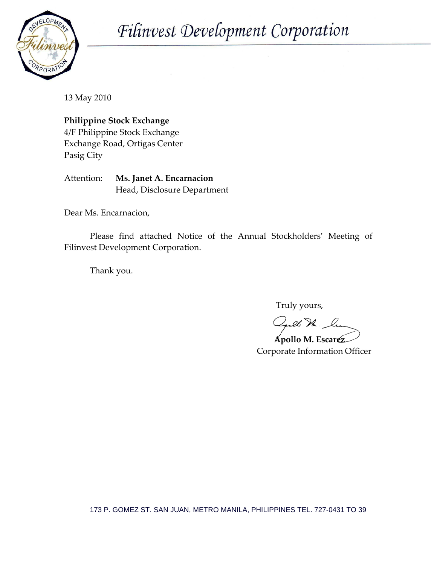

Filinvest Development Corporation

13 May 2010

**Philippine Stock Exchange**

4/F Philippine Stock Exchange Exchange Road, Ortigas Center Pasig City

Attention: **Ms. Janet A. Encarnacion** Head, Disclosure Department

Dear Ms. Encarnacion,

Please find attached Notice of the Annual Stockholders' Meeting of Filinvest Development Corporation.

Thank you.

Truly yours,

lle Dr. Le

 **Apollo M. Escarez** Corporate Information Officer